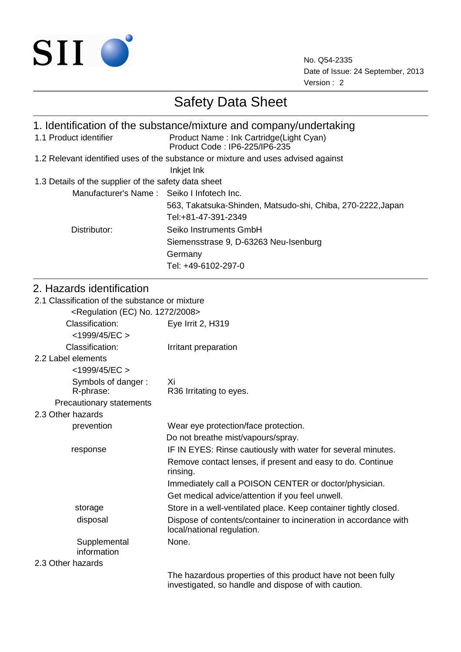

No. Q54-2335 Date of Issue: 24 September, 2013 Version : 2

# Safety Data Sheet

|                                                      | 1. Identification of the substance/mixture and company/undertaking                |
|------------------------------------------------------|-----------------------------------------------------------------------------------|
| 1.1 Product identifier                               | Product Name: Ink Cartridge(Light Cyan)<br>Product Code: IP6-225/IP6-235          |
|                                                      | 1.2 Relevant identified uses of the substance or mixture and uses advised against |
|                                                      | Inkjet Ink                                                                        |
| 1.3 Details of the supplier of the safety data sheet |                                                                                   |
| Manufacturer's Name: Seiko I Infotech Inc.           |                                                                                   |
|                                                      | 563, Takatsuka-Shinden, Matsudo-shi, Chiba, 270-2222, Japan                       |
|                                                      | Tel:+81-47-391-2349                                                               |
| Distributor:                                         | Seiko Instruments GmbH                                                            |
|                                                      | Siemensstrase 9, D-63263 Neu-Isenburg                                             |
|                                                      | Germany                                                                           |
|                                                      | Tel: +49-6102-297-0                                                               |
| 2. Hazards identification                            |                                                                                   |

#### 2.1 Classification of the substance or mixture

| 2. I Classification of the substance of mixture          |                                                                                                |  |  |
|----------------------------------------------------------|------------------------------------------------------------------------------------------------|--|--|
| <regulation (ec)="" 1272="" 2008="" no.=""></regulation> |                                                                                                |  |  |
| Classification:                                          | Eye Irrit 2, H319                                                                              |  |  |
| $<$ 1999/45/EC >                                         |                                                                                                |  |  |
| Classification:                                          | Irritant preparation                                                                           |  |  |
| 2.2 Label elements                                       |                                                                                                |  |  |
| $<$ 1999/45/EC >                                         |                                                                                                |  |  |
| Symbols of danger:<br>R-phrase:                          | Xi<br>R36 Irritating to eyes.                                                                  |  |  |
| Precautionary statements                                 |                                                                                                |  |  |
| 2.3 Other hazards                                        |                                                                                                |  |  |
| prevention                                               | Wear eye protection/face protection.                                                           |  |  |
|                                                          | Do not breathe mist/vapours/spray.                                                             |  |  |
| response                                                 | IF IN EYES: Rinse cautiously with water for several minutes.                                   |  |  |
|                                                          | Remove contact lenses, if present and easy to do. Continue<br>rinsing.                         |  |  |
|                                                          | Immediately call a POISON CENTER or doctor/physician.                                          |  |  |
|                                                          | Get medical advice/attention if you feel unwell.                                               |  |  |
| storage                                                  | Store in a well-ventilated place. Keep container tightly closed.                               |  |  |
| disposal                                                 | Dispose of contents/container to incineration in accordance with<br>local/national regulation. |  |  |
| Supplemental<br>information                              | None.                                                                                          |  |  |
| 2.3 Other hazards                                        |                                                                                                |  |  |
|                                                          | The hazardous properties of this product have not been fully                                   |  |  |

investigated, so handle and dispose of with caution.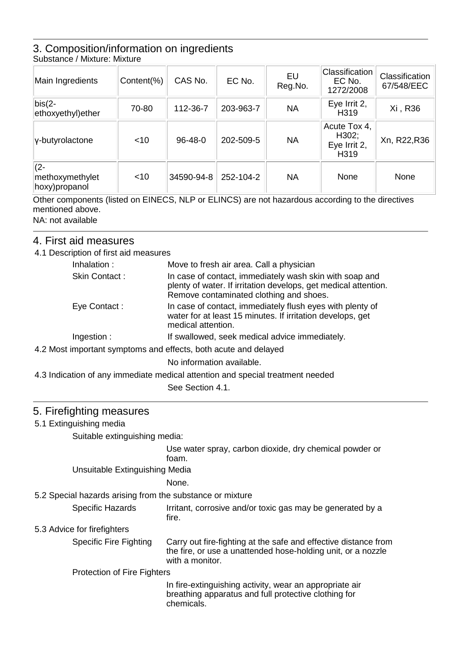#### 3. Composition/information on ingredients Substance / Mixture: Mixture

| Main Ingredients                           | Content(%) | CAS No.       | EC No.    | EU<br>Reg.No. | <b>Classification</b><br>EC No.<br>1272/2008  | Classification<br>67/548/EEC |
|--------------------------------------------|------------|---------------|-----------|---------------|-----------------------------------------------|------------------------------|
| $bis(2-$<br>ethoxyethyl) ether             | 70-80      | 112-36-7      | 203-963-7 | <b>NA</b>     | Eye Irrit 2,<br>H <sub>319</sub>              | Xi, R36                      |
| y-butyrolactone                            | $<$ 10     | $96 - 48 - 0$ | 202-509-5 | <b>NA</b>     | Acute Tox 4,<br>H302;<br>Eye Irrit 2,<br>H319 | Xn, R22, R36                 |
| $(2 -$<br>methoxymethylet<br>hoxy)propanol | $<$ 10     | 34590-94-8    | 252-104-2 | <b>NA</b>     | None                                          | None                         |

Other components (listed on EINECS, NLP or ELINCS) are not hazardous according to the directives mentioned above. NA: not available

## 4. First aid measures

## 4.1 Description of first aid measures

| Inhalation:                                                     | Move to fresh air area. Call a physician                                                                                                                              |
|-----------------------------------------------------------------|-----------------------------------------------------------------------------------------------------------------------------------------------------------------------|
| Skin Contact:                                                   | In case of contact, immediately wash skin with soap and<br>plenty of water. If irritation develops, get medical attention.<br>Remove contaminated clothing and shoes. |
| Eye Contact:                                                    | In case of contact, immediately flush eyes with plenty of<br>water for at least 15 minutes. If irritation develops, get<br>medical attention.                         |
| Ingestion:                                                      | If swallowed, seek medical advice immediately.                                                                                                                        |
| 4.2 Most important symptoms and effects, both acute and delayed |                                                                                                                                                                       |
|                                                                 | No information available.                                                                                                                                             |
|                                                                 | 4.3 Indication of any immediate medical attention and special treatment needed                                                                                        |
|                                                                 |                                                                                                                                                                       |

See Section 4.1.

### 5. Firefighting measures

#### 5.1 Extinguishing media

Suitable extinguishing media:

Use water spray, carbon dioxide, dry chemical powder or foam.

Unsuitable Extinguishing Media

None.

5.2 Special hazards arising from the substance or mixture

| <b>Specific Hazards</b> | Irritant, corrosive and/or toxic gas may be generated by a<br>fire. |
|-------------------------|---------------------------------------------------------------------|
|-------------------------|---------------------------------------------------------------------|

#### 5.3 Advice for firefighters

Specific Fire Fighting Carry out fire-fighting at the safe and effective distance from the fire, or use a unattended hose-holding unit, or a nozzle with a monitor.

Protection of Fire Fighters

In fire-extinguishing activity, wear an appropriate air breathing apparatus and full protective clothing for chemicals.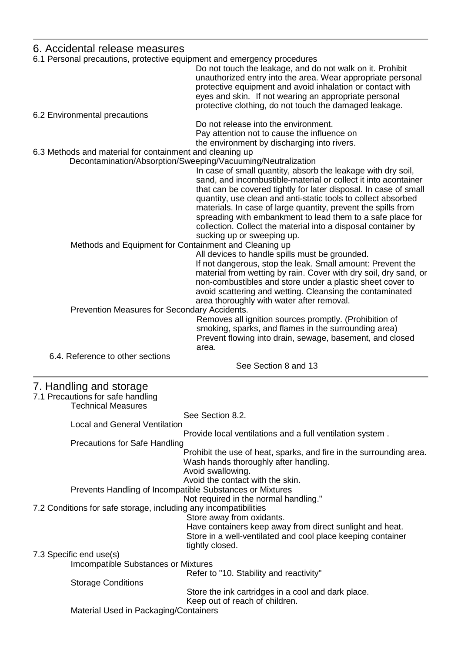## 6. Accidental release measures

| 6.1 Personal precautions, protective equipment and emergency procedures |                                                                                                                                                                                                                                                                                                                                                                                                                                                                                                   |
|-------------------------------------------------------------------------|---------------------------------------------------------------------------------------------------------------------------------------------------------------------------------------------------------------------------------------------------------------------------------------------------------------------------------------------------------------------------------------------------------------------------------------------------------------------------------------------------|
|                                                                         | Do not touch the leakage, and do not walk on it. Prohibit<br>unauthorized entry into the area. Wear appropriate personal<br>protective equipment and avoid inhalation or contact with<br>eyes and skin. If not wearing an appropriate personal<br>protective clothing, do not touch the damaged leakage.                                                                                                                                                                                          |
| 6.2 Environmental precautions                                           |                                                                                                                                                                                                                                                                                                                                                                                                                                                                                                   |
|                                                                         | Do not release into the environment.<br>Pay attention not to cause the influence on<br>the environment by discharging into rivers.                                                                                                                                                                                                                                                                                                                                                                |
| 6.3 Methods and material for containment and cleaning up                |                                                                                                                                                                                                                                                                                                                                                                                                                                                                                                   |
| Decontamination/Absorption/Sweeping/Vacuuming/Neutralization            |                                                                                                                                                                                                                                                                                                                                                                                                                                                                                                   |
|                                                                         | In case of small quantity, absorb the leakage with dry soil,<br>sand, and incombustible-material or collect it into acontainer<br>that can be covered tightly for later disposal. In case of small<br>quantity, use clean and anti-static tools to collect absorbed<br>materials. In case of large quantity, prevent the spills from<br>spreading with embankment to lead them to a safe place for<br>collection. Collect the material into a disposal container by<br>sucking up or sweeping up. |
| Methods and Equipment for Containment and Cleaning up                   |                                                                                                                                                                                                                                                                                                                                                                                                                                                                                                   |
|                                                                         | All devices to handle spills must be grounded.<br>If not dangerous, stop the leak. Small amount: Prevent the<br>material from wetting by rain. Cover with dry soil, dry sand, or<br>non-combustibles and store under a plastic sheet cover to<br>avoid scattering and wetting. Cleansing the contaminated<br>area thoroughly with water after removal.                                                                                                                                            |
| Prevention Measures for Secondary Accidents.                            |                                                                                                                                                                                                                                                                                                                                                                                                                                                                                                   |
|                                                                         | Removes all ignition sources promptly. (Prohibition of<br>smoking, sparks, and flames in the surrounding area)<br>Prevent flowing into drain, sewage, basement, and closed<br>area.                                                                                                                                                                                                                                                                                                               |
| 6.4. Reference to other sections                                        | See Section 8 and 13                                                                                                                                                                                                                                                                                                                                                                                                                                                                              |

## 7. Handling and storage

| 7.1 Precautions for safe handling                                |                                                                                                                                                                       |
|------------------------------------------------------------------|-----------------------------------------------------------------------------------------------------------------------------------------------------------------------|
| <b>Technical Measures</b>                                        |                                                                                                                                                                       |
|                                                                  | See Section 8.2.                                                                                                                                                      |
| <b>Local and General Ventilation</b>                             |                                                                                                                                                                       |
|                                                                  | Provide local ventilations and a full ventilation system.                                                                                                             |
| <b>Precautions for Safe Handling</b>                             |                                                                                                                                                                       |
|                                                                  | Prohibit the use of heat, sparks, and fire in the surrounding area.<br>Wash hands thoroughly after handling.<br>Avoid swallowing.<br>Avoid the contact with the skin. |
| Prevents Handling of Incompatible Substances or Mixtures         |                                                                                                                                                                       |
|                                                                  | Not required in the normal handling."                                                                                                                                 |
| 7.2 Conditions for safe storage, including any incompatibilities |                                                                                                                                                                       |
|                                                                  | Store away from oxidants.                                                                                                                                             |
|                                                                  | Have containers keep away from direct sunlight and heat.<br>Store in a well-ventilated and cool place keeping container<br>tightly closed.                            |
| 7.3 Specific end use(s)                                          |                                                                                                                                                                       |
| Imcompatible Substances or Mixtures                              |                                                                                                                                                                       |
|                                                                  | Refer to "10. Stability and reactivity"                                                                                                                               |
| <b>Storage Conditions</b>                                        |                                                                                                                                                                       |
|                                                                  | Store the ink cartridges in a cool and dark place.<br>Keep out of reach of children.                                                                                  |
| Material Used in Packaging/Containers                            |                                                                                                                                                                       |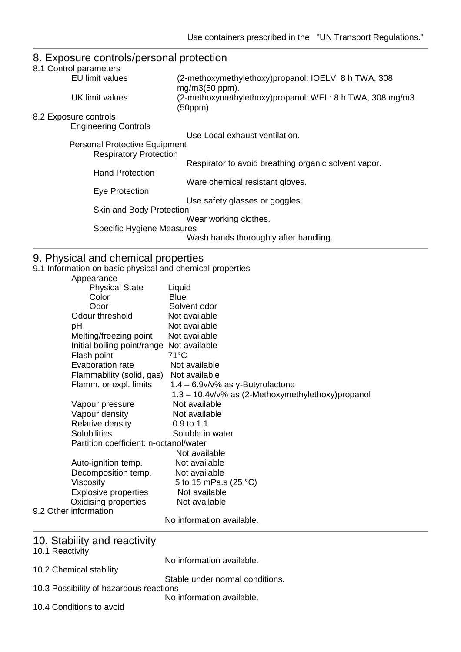## 8. Exposure controls/personal protection

| 8.1 Control parameters                                                |                                                                           |
|-----------------------------------------------------------------------|---------------------------------------------------------------------------|
| EU limit values                                                       | (2-methoxymethylethoxy)propanol: IOELV: 8 h TWA, 308<br>$mg/m3(50 ppm)$ . |
| UK limit values                                                       | (2-methoxymethylethoxy) propanol: WEL: 8 h TWA, 308 mg/m3<br>(50ppm).     |
| 8.2 Exposure controls                                                 |                                                                           |
| <b>Engineering Controls</b>                                           |                                                                           |
|                                                                       | Use Local exhaust ventilation.                                            |
| <b>Personal Protective Equipment</b><br><b>Respiratory Protection</b> |                                                                           |
|                                                                       | Respirator to avoid breathing organic solvent vapor.                      |
| <b>Hand Protection</b>                                                |                                                                           |
|                                                                       | Ware chemical resistant gloves.                                           |
| Eye Protection                                                        |                                                                           |
|                                                                       | Use safety glasses or goggles.                                            |
| Skin and Body Protection                                              |                                                                           |
|                                                                       | Wear working clothes.                                                     |
| Specific Hygiene Measures                                             |                                                                           |
|                                                                       | Wash hands thoroughly after handling.                                     |
|                                                                       |                                                                           |

#### 9. Physical and chemical properties

9.1 Information on basic physical and chemical properties

| Appearance                                |                                                       |
|-------------------------------------------|-------------------------------------------------------|
| <b>Physical State</b>                     | Liquid                                                |
| Color                                     | <b>Blue</b>                                           |
| Odor                                      | Solvent odor                                          |
| Odour threshold                           | Not available                                         |
| рH                                        | Not available                                         |
| Melting/freezing point                    | Not available                                         |
| Initial boiling point/range Not available |                                                       |
| Flash point                               | $71^{\circ}$ C                                        |
| Evaporation rate                          | Not available                                         |
| Flammability (solid, gas)                 | Not available                                         |
| Flamm. or expl. limits                    | $1.4 - 6.9v/v\%$ as y-Butyrolactone                   |
|                                           | $1.3 - 10.4$ v/v% as (2-Methoxymethylethoxy) propanol |
| Vapour pressure                           | Not available                                         |
| Vapour density                            | Not available                                         |
| Relative density                          | 0.9 to 1.1                                            |
| <b>Solubilities</b>                       | Soluble in water                                      |
| Partition coefficient: n-octanol/water    |                                                       |
|                                           | Not available                                         |
| Auto-ignition temp.                       | Not available                                         |
| Decomposition temp.                       | Not available                                         |
| Viscosity                                 | 5 to 15 mPa.s $(25 °C)$                               |
| <b>Explosive properties</b>               | Not available                                         |
| Oxidising properties                      | Not available                                         |
| 9.2 Other information                     |                                                       |
|                                           | No information available.                             |
|                                           |                                                       |

## 10. Stability and reactivity

10.1 Reactivity

No information available.

10.2 Chemical stability

Stable under normal conditions.

10.3 Possibility of hazardous reactions

No information available.

10.4 Conditions to avoid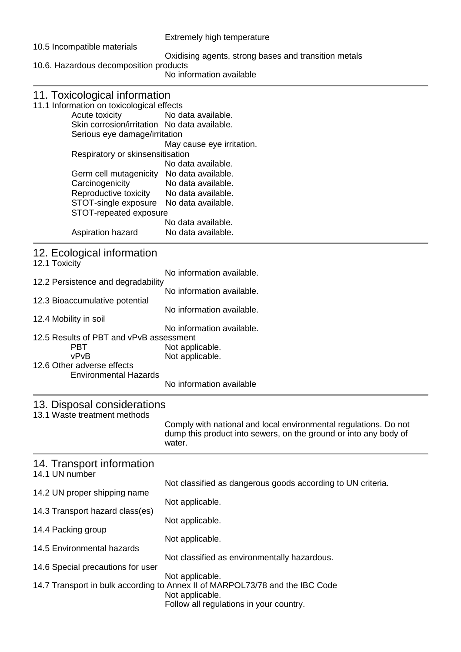| 10.5 Incompatible materials                                                                                                                                                                                                                                                            | Extremely high temperature                                                                                                                                                                                                                                                     |  |  |
|----------------------------------------------------------------------------------------------------------------------------------------------------------------------------------------------------------------------------------------------------------------------------------------|--------------------------------------------------------------------------------------------------------------------------------------------------------------------------------------------------------------------------------------------------------------------------------|--|--|
| 10.6. Hazardous decomposition products                                                                                                                                                                                                                                                 | Oxidising agents, strong bases and transition metals<br>No information available                                                                                                                                                                                               |  |  |
| 11. Toxicological information<br>11.1 Information on toxicological effects<br>Acute toxicity<br>Serious eye damage/irritation<br>Respiratory or skinsensitisation<br>Germ cell mutagenicity<br>Carcinogenicity<br>Reproductive toxicity<br>STOT-repeated exposure<br>Aspiration hazard | No data available.<br>Skin corrosion/irritation No data available.<br>May cause eye irritation.<br>No data available.<br>No data available.<br>No data available.<br>No data available.<br>STOT-single exposure No data available.<br>No data available.<br>No data available. |  |  |
| 12. Ecological information                                                                                                                                                                                                                                                             |                                                                                                                                                                                                                                                                                |  |  |
| 12.1 Toxicity                                                                                                                                                                                                                                                                          | No information available.                                                                                                                                                                                                                                                      |  |  |
| 12.2 Persistence and degradability                                                                                                                                                                                                                                                     | No information available.                                                                                                                                                                                                                                                      |  |  |
| 12.3 Bioaccumulative potential                                                                                                                                                                                                                                                         |                                                                                                                                                                                                                                                                                |  |  |
| 12.4 Mobility in soil                                                                                                                                                                                                                                                                  | No information available.                                                                                                                                                                                                                                                      |  |  |
| 12.5 Results of PBT and vPvB assessment<br><b>PBT</b><br>vPvB<br>12.6 Other adverse effects<br><b>Environmental Hazards</b>                                                                                                                                                            | No information available.<br>Not applicable.<br>Not applicable.<br>No information available                                                                                                                                                                                    |  |  |
| 13. Disposal considerations<br>13.1 Waste treatment methods                                                                                                                                                                                                                            | Comply with national and local environmental regulations. Do not<br>dump this product into sewers, on the ground or into any body of<br>water.                                                                                                                                 |  |  |
| 14. Transport information<br>14.1 UN number                                                                                                                                                                                                                                            |                                                                                                                                                                                                                                                                                |  |  |
| 14.2 UN proper shipping name                                                                                                                                                                                                                                                           | Not classified as dangerous goods according to UN criteria.                                                                                                                                                                                                                    |  |  |
| 14.3 Transport hazard class(es)                                                                                                                                                                                                                                                        | Not applicable.                                                                                                                                                                                                                                                                |  |  |
|                                                                                                                                                                                                                                                                                        | Not applicable.                                                                                                                                                                                                                                                                |  |  |
| 14.4 Packing group                                                                                                                                                                                                                                                                     | Not applicable.                                                                                                                                                                                                                                                                |  |  |
| 14.5 Environmental hazards                                                                                                                                                                                                                                                             | Not classified as environmentally hazardous.                                                                                                                                                                                                                                   |  |  |
| 14.6 Special precautions for user                                                                                                                                                                                                                                                      |                                                                                                                                                                                                                                                                                |  |  |
|                                                                                                                                                                                                                                                                                        | Not applicable.<br>14.7 Transport in bulk according to Annex II of MARPOL73/78 and the IBC Code<br>Not applicable.<br>Follow all regulations in your country.                                                                                                                  |  |  |